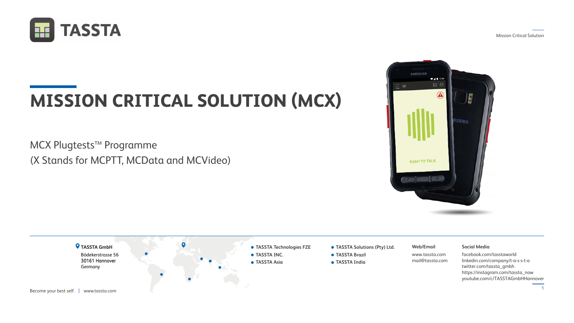





# **MISSION CRITICAL SOLUTION (MCX)**

## MCX Plugtests<sup>™</sup> Programme (X Stands for MCPTT, MCData and MCVideo)

#### **Web/Email**

www.tassta.com mail@tassta.com



#### **Social Media**

facebook.com/tasstaworld linkedin.com/company/t-a-s-s-t-a twitter.com/tassta\_gmbh https://instagram.com/tassta\_now youtube.com/c/TASSTAGmbHHannover



- **TASSTA Technologies FZE**
- **TASSTA Solutions (Pty) Ltd.**
- **TASSTA Brazil**
- **TASSTA India**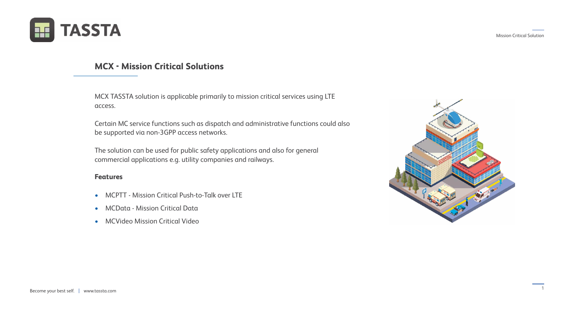



1



## **MCX - Mission Critical Solutions**

#### **Features**

MCX TASSTA solution is applicable primarily to mission critical services using LTE access.

Certain MC service functions such as dispatch and administrative functions could also be supported via non-3GPP access networks.

The solution can be used for public safety applications and also for general commercial applications e.g. utility companies and railways.

- MCPTT Mission Critical Push-to-Talk over LTE
- MCData Mission Critical Data
- MCVideo Mission Critical Video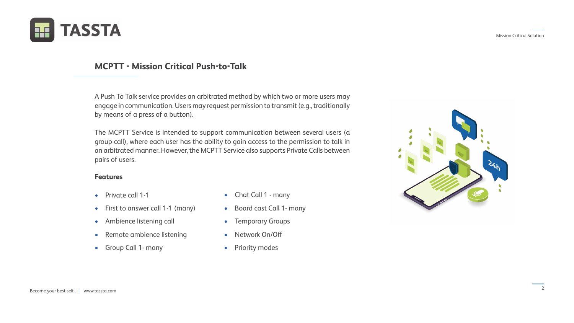







## **MCPTT - Mission Critical Push-to-Talk**

#### **Features**

A Push To Talk service provides an arbitrated method by which two or more users may engage in communication. Users may request permission to transmit (e.g., traditionally by means of a press of a button).

The MCPTT Service is intended to support communication between several users (a group call), where each user has the ability to gain access to the permission to talk in an arbitrated manner. However, the MCPTT Service also supports Private Calls between pairs of users.

- Private call 1-1
- First to answer call 1-1 (many)
- Ambience listening call
- Remote ambience listening
- Group Call 1- many
- Chat Call 1 many
- Board cast Call 1- many
- Temporary Groups
- Network On/Off
- Priority modes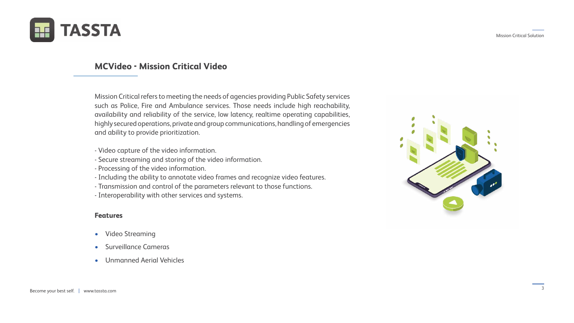







## **MCVideo - Mission Critical Video**

Mission Critical refers to meeting the needs of agencies providing Public Safety services such as Police, Fire and Ambulance services. Those needs include high reachability, availability and reliability of the service, low latency, realtime operating capabilities, highly secured operations, private and group communications, handling of emergencies and ability to provide prioritization.

- Video capture of the video information.
- Secure streaming and storing of the video information.
- Processing of the video information.
- Including the ability to annotate video frames and recognize video features.
- Transmission and control of the parameters relevant to those functions.
- Interoperability with other services and systems.

#### **Features**

- Video Streaming
- Surveillance Cameras
- Unmanned Aerial Vehicles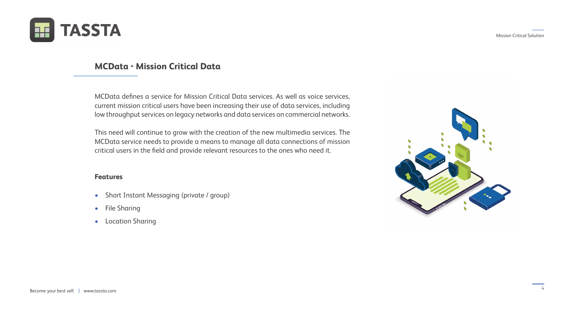







## **MCData - Mission Critical Data**

#### **Features**

MCData defines a service for Mission Critical Data services. As well as voice services, current mission critical users have been increasing their use of data services, including low throughput services on legacy networks and data services on commercial networks.

This need will continue to grow with the creation of the new multimedia services. The MCData service needs to provide a means to manage all data connections of mission critical users in the field and provide relevant resources to the ones who need it.

- Short Instant Messaging (private / group)
- File Sharing
- Location Sharing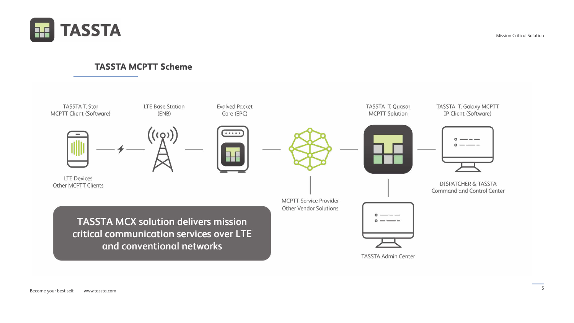







## **TASSTA MCPTT Scheme**



Other MCPTT Clients

**TASSTA MCX solution delivers mission** critical communication services over LTE and conventional networks

Become your best self. | www.tassta.com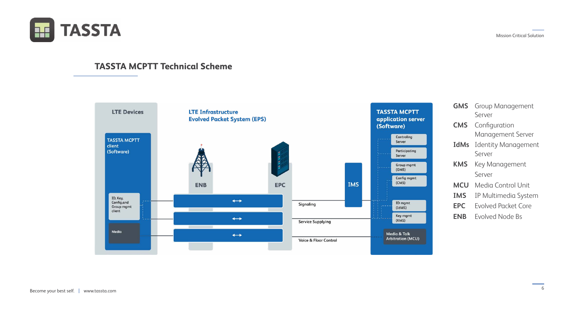

| <b>Group Management</b>    |
|----------------------------|
| Server                     |
| Configuration              |
| <b>Management Server</b>   |
| <b>Identity Management</b> |
| Server                     |
| <b>Key Management</b>      |
| Server                     |
| Media Control Unit         |
| IP Multimedia System       |
| <b>Fyolved Packet Core</b> |
| <b>Evolved Node Bs</b>     |
|                            |





## **TASSTA MCPTT Technical Scheme**